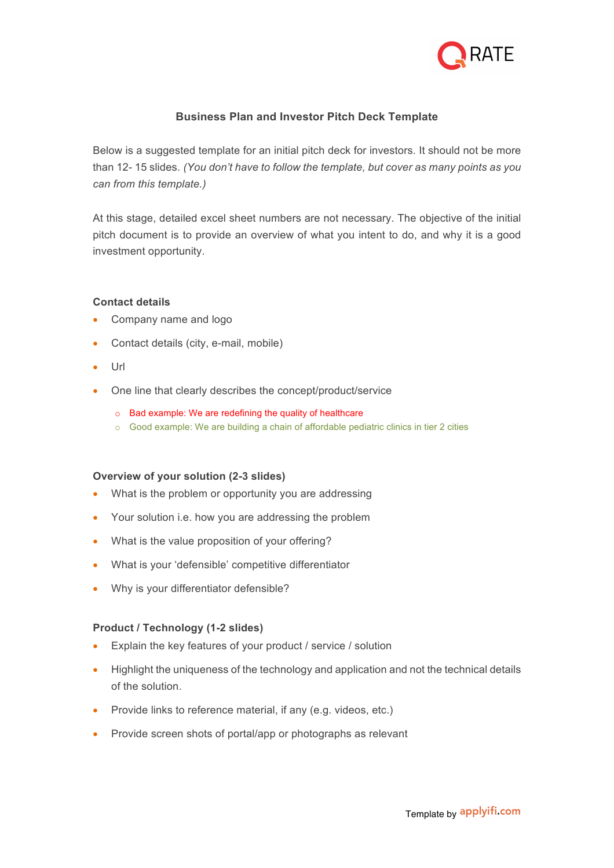

# **Business Plan and Investor Pitch Deck Template**

Below is a suggested template for an initial pitch deck for investors. It should not be more than 12- 15 slides. *(You don't have to follow the template, but cover as many points as you can from this template.)*

At this stage, detailed excel sheet numbers are not necessary. The objective of the initial pitch document is to provide an overview of what you intent to do, and why it is a good investment opportunity.

### **Contact details**

- Company name and logo
- Contact details (city, e-mail, mobile)
- Url
- One line that clearly describes the concept/product/service
	- o Bad example: We are redefining the quality of healthcare
	- o Good example: We are building a chain of affordable pediatric clinics in tier 2 cities

### **Overview of your solution (2-3 slides)**

- What is the problem or opportunity you are addressing
- Your solution i.e. how you are addressing the problem
- What is the value proposition of your offering?
- What is your 'defensible' competitive differentiator
- Why is your differentiator defensible?

### **Product / Technology (1-2 slides)**

- Explain the key features of your product / service / solution
- Highlight the uniqueness of the technology and application and not the technical details of the solution.
- Provide links to reference material, if any (e.g. videos, etc.)
- Provide screen shots of portal/app or photographs as relevant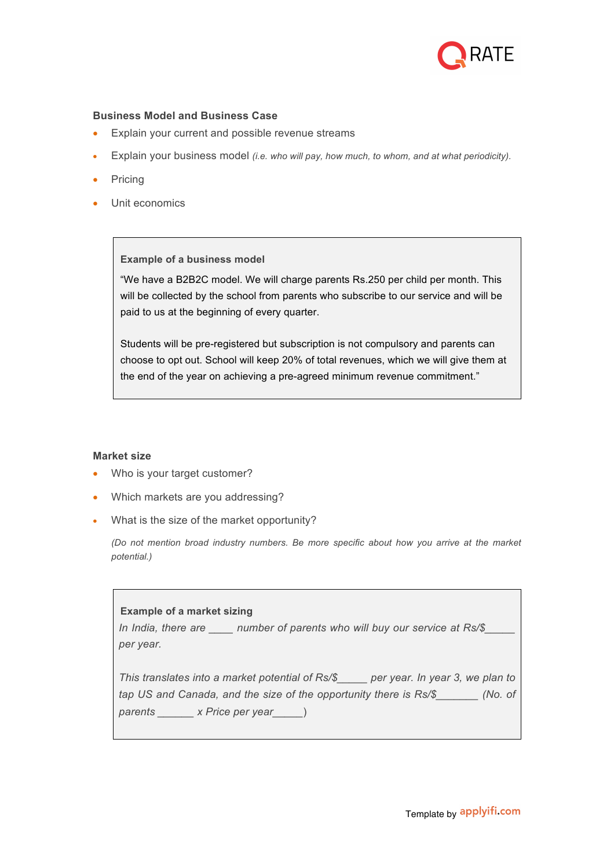

### **Business Model and Business Case**

- Explain your current and possible revenue streams
- Explain your business model *(i.e. who will pay, how much, to whom, and at what periodicity).*
- **Pricing**
- Unit economics

### **Example of a business model**

"We have a B2B2C model. We will charge parents Rs.250 per child per month. This will be collected by the school from parents who subscribe to our service and will be paid to us at the beginning of every quarter.

Students will be pre-registered but subscription is not compulsory and parents can choose to opt out. School will keep 20% of total revenues, which we will give them at the end of the year on achieving a pre-agreed minimum revenue commitment."

### **Market size**

- Who is your target customer?
- Which markets are you addressing?
- What is the size of the market opportunity?

*(Do not mention broad industry numbers. Be more specific about how you arrive at the market potential.)*

## **Example of a market sizing**

*In India, there are \_\_\_\_ number of parents who will buy our service at Rs/\$\_\_\_\_\_ per year.*

*This translates into a market potential of Rs/\$\_\_\_\_\_ per year. In year 3, we plan to tap US and Canada, and the size of the opportunity there is Rs/\$\_\_\_\_\_\_\_ (No. of parents \_\_\_\_\_\_ x Price per year\_\_\_\_\_*)